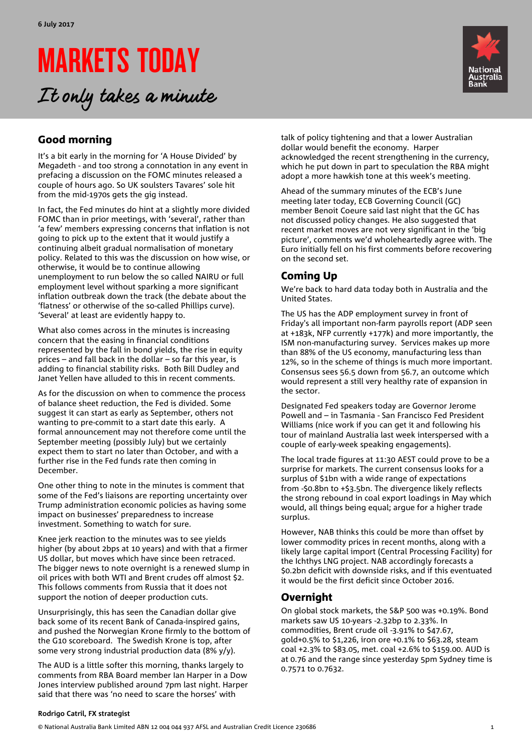# MARKETS TODAY

It only takes a minute



# Good morning

It's a bit early in the morning for 'A House Divided' by Megadeth - and too strong a connotation in any event in prefacing a discussion on the FOMC minutes released a couple of hours ago. So UK soulsters Tavares' sole hit from the mid-1970s gets the gig instead.

In fact, the Fed minutes do hint at a slightly more divided FOMC than in prior meetings, with 'several', rather than 'a few' members expressing concerns that inflation is not going to pick up to the extent that it would justify a continuing albeit gradual normalisation of monetary policy. Related to this was the discussion on how wise, or otherwise, it would be to continue allowing unemployment to run below the so called NAIRU or full employment level without sparking a more significant inflation outbreak down the track (the debate about the 'flatness' or otherwise of the so-called Phillips curve). 'Several' at least are evidently happy to.

What also comes across in the minutes is increasing concern that the easing in financial conditions represented by the fall in bond yields, the rise in equity prices – and fall back in the dollar – so far this year, is adding to financial stability risks. Both Bill Dudley and Janet Yellen have alluded to this in recent comments.

As for the discussion on when to commence the process of balance sheet reduction, the Fed is divided. Some suggest it can start as early as September, others not wanting to pre-commit to a start date this early. A formal announcement may not therefore come until the September meeting (possibly July) but we certainly expect them to start no later than October, and with a further rise in the Fed funds rate then coming in December.

One other thing to note in the minutes is comment that some of the Fed's liaisons are reporting uncertainty over Trump administration economic policies as having some impact on businesses' preparedness to increase investment. Something to watch for sure.

Knee jerk reaction to the minutes was to see yields higher (by about 2bps at 10 years) and with that a firmer US dollar, but moves which have since been retraced. The bigger news to note overnight is a renewed slump in oil prices with both WTI and Brent crudes off almost \$2. This follows comments from Russia that it does not support the notion of deeper production cuts.

Unsurprisingly, this has seen the Canadian dollar give back some of its recent Bank of Canada-inspired gains, and pushed the Norwegian Krone firmly to the bottom of the G10 scoreboard. The Swedish Krone is top, after some very strong industrial production data (8% y/y).

The AUD is a little softer this morning, thanks largely to comments from RBA Board member Ian Harper in a Dow Jones interview published around 7pm last night. Harper said that there was 'no need to scare the horses' with

talk of policy tightening and that a lower Australian dollar would benefit the economy. Harper acknowledged the recent strengthening in the currency, which he put down in part to speculation the RBA might adopt a more hawkish tone at this week's meeting.

Ahead of the summary minutes of the ECB's June meeting later today, ECB Governing Council (GC) member Benoit Coeure said last night that the GC has not discussed policy changes. He also suggested that recent market moves are not very significant in the 'big picture', comments we'd wholeheartedly agree with. The Euro initially fell on his first comments before recovering on the second set.

# Coming Up

We're back to hard data today both in Australia and the United States.

The US has the ADP employment survey in front of Friday's all important non-farm payrolls report (ADP seen at +183k, NFP currently +177k) and more importantly, the ISM non-manufacturing survey. Services makes up more than 88% of the US economy, manufacturing less than 12%, so in the scheme of things is much more important. Consensus sees 56.5 down from 56.7, an outcome which would represent a still very healthy rate of expansion in the sector.

Designated Fed speakers today are Governor Jerome Powell and – in Tasmania - San Francisco Fed President Williams (nice work if you can get it and following his tour of mainland Australia last week interspersed with a couple of early-week speaking engagements).

The local trade figures at 11:30 AEST could prove to be a surprise for markets. The current consensus looks for a surplus of \$1bn with a wide range of expectations from -\$0.8bn to +\$3.5bn. The divergence likely reflects the strong rebound in coal export loadings in May which would, all things being equal; argue for a higher trade surplus.

However, NAB thinks this could be more than offset by lower commodity prices in recent months, along with a likely large capital import (Central Processing Facility) for the Ichthys LNG project. NAB accordingly forecasts a \$0.2bn deficit with downside risks, and if this eventuated it would be the first deficit since October 2016.

## Overnight

On global stock markets, the S&P 500 was +0.19%. Bond markets saw US 10-years -2.32bp to 2.33%. In commodities, Brent crude oil -3.91% to \$47.67, gold+0.5% to \$1,226, iron ore +0.1% to \$63.28, steam coal +2.3% to \$83.05, met. coal +2.6% to \$159.00. AUD is at 0.76 and the range since yesterday 5pm Sydney time is 0.7571 to 0.7632.

### **Rodrigo Catril, FX strategist**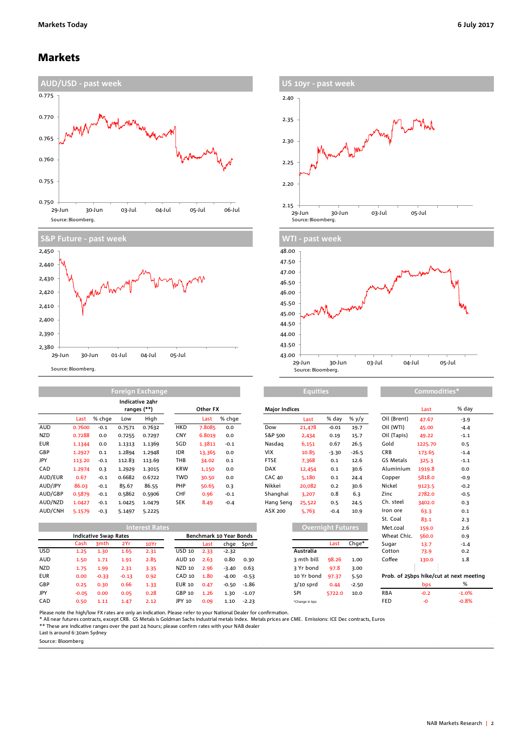### Markets





| 2.40                                                       |
|------------------------------------------------------------|
| 2.35                                                       |
| . Mary or<br>2.30                                          |
| 2.25                                                       |
| 2.20                                                       |
| 2.15                                                       |
| 03-Jul<br>05-Jul<br>29-Jun<br>30-Jun<br>Source: Bloomberg. |
|                                                            |
| <b>WTI - past week</b>                                     |
| 48.00 -                                                    |



|            | Foreign Exchange |        |        |                                |            |        |        |                      | <b>Equities</b> |         | Commodities* |                |         |        |
|------------|------------------|--------|--------|--------------------------------|------------|--------|--------|----------------------|-----------------|---------|--------------|----------------|---------|--------|
|            |                  |        |        | Indicative 24hr<br>ranges (**) | Other FX   |        |        | <b>Major Indices</b> |                 |         |              | Last           | % da    |        |
|            | Last             | % chge | Low    | High                           |            | Last   | % chge |                      | Last            | % day   | % $y/y$      | Oil (Brent)    | 47.67   | $-3.9$ |
| AUD        | 0.7600           | $-0.1$ | 0.7571 | 0.7632                         | <b>HKD</b> | 7.8085 | 0.0    | Dow                  | 21,478          | $-0.01$ | 19.7         | Oil (WTI)      | 45.00   | $-4.4$ |
| <b>NZD</b> | 0.7288           | 0.0    | 0.7255 | 0.7297                         | CNY        | 6.8019 | 0.0    | S&P 500              | 2,434           | 0.19    | 15.7         | Oil (Tapis)    | 49.22   | $-1.1$ |
| <b>EUR</b> | 1.1344           | 0.0    | 1.1313 | 1.1369                         | SGD        | 1.3811 | $-0.1$ | Nasdag               | 6,151           | 0.67    | 26.5         | Gold           | 1225.70 | 0.5    |
| GBP        | 1.2927           | 0.1    | 1.2894 | 1.2948                         | IDR        | 13,365 | 0.0    | <b>VIX</b>           | 10.85           | $-3.30$ | $-26.5$      | CRB            | 173.65  | $-1.4$ |
| JPY        | 113.20           | $-0.1$ | 112.83 | 113.69                         | THB        | 34.02  | 0.1    | <b>FTSE</b>          | 7,368           | 0.1     | 12.6         | GS Metals      | 325.3   | $-1.1$ |
| CAD        | 1.2974           | 0.3    | 1.2929 | 1.3015                         | <b>KRW</b> | 1,150  | 0.0    | <b>DAX</b>           | 12,454          | 0.1     | 30.6         | Aluminium      | 1919.8  | 0.0    |
| AUD/EUR    | 0.67             | $-0.1$ | 0.6682 | 0.6722                         | <b>TWD</b> | 30.50  | 0.0    | <b>CAC 40</b>        | 5,180           | 0.1     | 24.4         | Copper         | 5818.0  | $-0.9$ |
| AUD/JPY    | 86.03            | $-0.1$ | 85.67  | 86.55                          | PHP        | 50.65  | 0.3    | Nikkei               | 20,082          | 0.2     | 30.6         | Nickel         | 9123.5  | $-0.2$ |
| AUD/GBP    | 0.5879           | $-0.1$ | 0.5862 | 0.5906                         | <b>CHF</b> | 0.96   | $-0.1$ | Shanghai             | 3,207           | 0.8     | 6.3          | Zinc           | 2782.0  | $-0.5$ |
| AUD/NZD    | 1.0427           | $-0.1$ | 1.0425 | 1.0479                         | <b>SEK</b> | 8.49   | $-0.4$ | Hang Seng            | 25,522          | 0.5     | 24.5         | Ch. steel      | 3402.0  | 0.3    |
| .          |                  |        |        |                                |            |        |        |                      |                 |         |              | $\blacksquare$ |         |        |

| AUD/CNH    | 5.1579  | $-0.3$                       | 5.1497  | 5.2225                |               |      |                         |           | ASX 200 | 5,763                    | $-0.4$ | 10.9    | Iron ore    | 63.3       | 0.1                                     |
|------------|---------|------------------------------|---------|-----------------------|---------------|------|-------------------------|-----------|---------|--------------------------|--------|---------|-------------|------------|-----------------------------------------|
|            |         |                              |         |                       |               |      |                         |           |         |                          |        |         | St. Coal    | 83.1       | 2.3                                     |
|            |         |                              |         | <b>Interest Rates</b> |               |      |                         |           |         | <b>Overnight Futures</b> |        |         | Met.coal    | 159.0      | 2.6                                     |
|            |         | <b>Indicative Swap Rates</b> |         |                       |               |      | Benchmark 10 Year Bonds |           |         |                          |        |         | Wheat Chic. | 560.0      | 0.9                                     |
|            | Cash    | 3 <sub>mth</sub>             | 2Yr     | 10Yr                  |               | Last |                         | chge Sprd |         |                          | Last   | Chge*   | Sugar       | 13.7       | $-1.4$                                  |
| <b>USD</b> | 1.25    | 1.30                         | 1.65    | 2.31                  | <b>USD 10</b> | 2.33 | $-2.32$                 |           |         | Australia                |        |         | Cotton      | 73.9       | 0.2                                     |
| <b>AUD</b> | 1.50    | 1.71                         | 1.91    | 2.85                  | AUD 10        | 2.63 | 0.80                    | 0.30      |         | 3 mth bill               | 98.26  | 1.00    | Coffee      | 130.0      | 1.8                                     |
| <b>NZD</b> | 1.75    | 1.99                         | 2.31    | 3.35                  | NZD 10        | 2.96 | $-3.40$                 | 0.63      |         | 3 Yr bond                | 97.8   | 3.00    |             |            |                                         |
| <b>EUR</b> | 0.00    | $-0.33$                      | $-0.13$ | 0.92                  | CAD 10        | 1.80 | $-4.00$                 | $-0.53$   |         | 10 Yr bond               | 97.37  | 5.50    |             |            | Prob. of 25bps hike/cut at next meeting |
| <b>GBP</b> | 0.25    | 0.30                         | 0.66    | 1.33                  | <b>EUR 10</b> | 0.47 | $-0.50$                 | $-1.86$   |         | $3/10$ sprd              | 0.44   | $-2.50$ |             | <b>bps</b> | %                                       |
| JPY        | $-0.05$ | 0.00                         | 0.05    | 0.28                  | GBP 10        | 1.26 | 1.30                    | $-1.07$   |         | SPI                      | 5722.0 | 10.0    | <b>RBA</b>  | $-0.2$     | $-1.0%$                                 |

| <b>Major Indices</b> |        |                          |         |
|----------------------|--------|--------------------------|---------|
|                      | Last   | % day                    | % $y/y$ |
| Dow                  | 21,478 | $-0.01$                  | 19.7    |
| S&P 500              | 2,434  | 0.19                     | 15.7    |
| Nasdag               | 6,151  | 0.67                     | 26.5    |
| <b>VIX</b>           | 10.85  | $-3.30$                  | $-26.5$ |
| <b>FTSE</b>          | 7.368  | 0.1                      | 12.6    |
| <b>DAX</b>           | 12,454 | 0.1                      | 30.6    |
| <b>CAC 40</b>        | 5,180  | 0.1                      | 24.4    |
| Nikkei               | 20,082 | 0.2                      | 30.6    |
| Shanghai             | 3.207  | 0.8                      | 6.3     |
| Hang Seng            | 25,522 | 0.5                      | 24.5    |
| ASX 200              | 5.763  | $-0.4$                   | 10.9    |
|                      |        |                          |         |
|                      |        | <b>Overnight Futures</b> |         |
|                      |        |                          |         |

|             | Last   | Chge*   |
|-------------|--------|---------|
| Australia   |        |         |
| 3 mth bill  | 98.26  | 1.00    |
| 3 Yr bond   | 97.8   | 3.00    |
| 10 Yr hond  | 97.37  | 5.50    |
| $3/10$ sprd | 0.44   | $-2.50$ |
| SPI         | 5722.0 | 10.0    |

|          |                      |      | <b>Equities</b>      |                          |         |         |             | Commodities* |        |  |  |  |
|----------|----------------------|------|----------------------|--------------------------|---------|---------|-------------|--------------|--------|--|--|--|
| Other FX |                      |      | <b>Major Indices</b> |                          |         |         |             | Last         | % day  |  |  |  |
| Last     | % chge               |      |                      | Last                     | % day   | % $y/y$ | Oil (Brent) | 47.67        | $-3.9$ |  |  |  |
| 7.8085   | 0.0                  |      | Dow                  | 21,478                   | $-0.01$ | 19.7    | Oil (WTI)   | 45.00        | $-4.4$ |  |  |  |
| 6.8019   | 0.0                  |      | S&P 500              | 2,434                    | 0.19    | 15.7    | Oil (Tapis) | 49.22        | $-1.1$ |  |  |  |
| 1.3811   | $-0.1$               |      | Nasdag               | 6,151                    | 0.67    | 26.5    | Gold        | 1225.70      | 0.5    |  |  |  |
| 13,365   | 0.0                  |      | VIX                  | 10.85                    | $-3.30$ | $-26.5$ | CRB         | 173.65       | $-1.4$ |  |  |  |
| 34.02    | 0.1                  |      | <b>FTSE</b>          | 7,368                    | 0.1     | 12.6    | GS Metals   | 325.3        | $-1.1$ |  |  |  |
| 1,150    | 0.0                  |      | <b>DAX</b>           | 12,454                   | 0.1     | 30.6    | Aluminium   | 1919.8       | 0.0    |  |  |  |
| 30.50    | 0.0                  |      | <b>CAC 40</b>        | 5,180                    | 0.1     | 24.4    | Copper      | 5818.0       | $-0.9$ |  |  |  |
| 50.65    | 0.3                  |      | Nikkei               | 20,082                   | 0.2     | 30.6    | Nickel      | 9123.5       | $-0.2$ |  |  |  |
| 0.96     | $-0.1$               |      | Shanghai             | 3,207                    | 0.8     | 6.3     | Zinc        | 2782.0       | $-0.5$ |  |  |  |
| 8.49     | $-0.4$               |      | Hang Seng            | 25,522                   | 0.5     | 24.5    | Ch. steel   | 3402.0       | 0.3    |  |  |  |
|          |                      |      | ASX 200              | 5,763                    | $-0.4$  | 10.9    | Iron ore    | 63.3         | 0.1    |  |  |  |
|          |                      |      |                      |                          |         |         | St. Coal    | 83.1         | 2.3    |  |  |  |
|          |                      |      |                      | <b>Overnight Futures</b> |         |         | Met.coal    | 159.0        | 2.6    |  |  |  |
|          | chmark 10 Year Bonds |      |                      |                          |         |         | Wheat Chic. | 560.0        | 0.9    |  |  |  |
| Last     | chge                 | Sprd |                      |                          | Last    | $Chge*$ | Sugar       | 13.7         | $-1.4$ |  |  |  |
| 2.33     | $-2.32$              |      |                      | Australia                |         |         | Cotton      | 73.9         | 0.2    |  |  |  |
| 2.63     | 0.80                 | 0.30 |                      | 3 mth bill               | 98.26   | 1.00    | Coffee      | 130.0        | 1.8    |  |  |  |
| 2.96     | $-3.40$              | 0.63 |                      | 3 Yr bond                | 97.8    | 3.00    |             |              |        |  |  |  |
| $ -$     |                      |      |                      |                          |         |         | .           |              |        |  |  |  |

Please note the high/low FX rates are only an indication. Please refer to your National Dealer for confirmation.<br>\* All near futures contracts, except CRB. GS Metals is Goldman Sachs industrial metals micals prices are CME.

CAD 0.50 1.11 1.47 2.12 JPY 10 0.09 1.10 -2.23 \*Change in bps FED -0 -0.8%

Last is around 6:30am Sydney Source: Bloomberg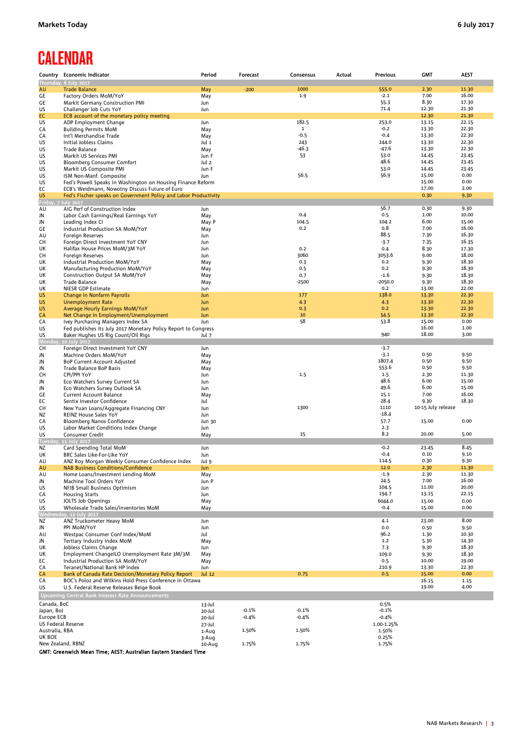# **CALENDAR**

|                           | Country Economic Indicator                                       | Period | Forecast | Consensus   | Actual | Previous   | <b>GMT</b>         | <b>AEST</b> |
|---------------------------|------------------------------------------------------------------|--------|----------|-------------|--------|------------|--------------------|-------------|
|                           | Thursday, 6 July 2017                                            |        |          |             |        |            |                    |             |
| AU                        | <b>Trade Balance</b>                                             | May    | $-200$   | 1000        |        | 555.0      | 2.30               | 11.30       |
| GE                        | Factory Orders MoM/YoY                                           | May    |          | 1.9         |        | $-2.1$     | 7.00               | 16.00       |
| GE                        | Markit Germany Construction PMI                                  | Jun    |          |             |        | 55.3       | 8.30               | 17.30       |
| US                        | Challenger Job Cuts YoY                                          | Jun    |          |             |        | 71.4       | 12.30              | 21.30       |
| EC                        | ECB account of the monetary policy meeting                       |        |          |             |        |            | 12.30              | 21.30       |
| US                        | ADP Employment Change                                            | Jun    |          | 182.5       |        | 253.0      | 13.15              | 22.15       |
| СA                        | <b>Building Permits MoM</b>                                      | May    |          | $\mathbf 1$ |        | $-0.2$     | 13.30              | 22.30       |
|                           |                                                                  |        |          | $-0.5$      |        | $-0.4$     | 13.30              | 22.30       |
| СA                        | Int'l Merchandise Trade                                          | May    |          | 243         |        | 244.0      |                    |             |
| US                        | Initial Jobless Claims                                           | Jul 1  |          |             |        |            | 13.30              | 22.30       |
| US                        | Trade Balance                                                    | May    |          | $-46.3$     |        | $-47.6$    | 13.30              | 22.30       |
| US                        | Markit US Services PMI                                           | Jun F  |          | 53          |        | 53.0       | 14.45              | 23.45       |
| US                        | <b>Bloomberg Consumer Comfort</b>                                | Jul 2  |          |             |        | 48.6       | 14.45              | 23.45       |
| US                        | Markit US Composite PMI                                          | Jun F  |          |             |        | 53.0       | 14.45              | 23.45       |
| US                        | ISM Non-Manf. Composite                                          | Jun    |          | 56.5        |        | 56.9       | 15.00              | 0.00        |
| US                        | Fed's Powell Speaks in Washington on Housing Finance Reform      |        |          |             |        |            | 15.00              | 0.00        |
| EC                        | ECB's Weidmann, Nowotny Discuss Future of Euro                   |        |          |             |        |            | 17.00              | 2.00        |
| US                        | Fed's Fischer speaks on Government Policy and Labor Productivity |        |          |             |        |            | 0.30               | 9.30        |
| Friday,                   | <b>July 2017</b>                                                 |        |          |             |        |            |                    |             |
| AU                        | AiG Perf of Construction Index                                   | Jun    |          |             |        | 56.7       | 0.30               | 9.30        |
| JN                        | Labor Cash Earnings/Real Earnings YoY                            | May    |          | 0.4         |        | 0.5        | 1.00               | 10.00       |
| JN                        | Leading Index CI                                                 | May P  |          | 104.5       |        | 104.2      | 6.00               | 15.00       |
|                           |                                                                  |        |          | 0.2         |        | 0.8        | 7.00               | 16.00       |
| GE                        | Industrial Production SA MoM/YoY                                 | May    |          |             |        | 88.5       | 7.30               | 16.30       |
| AU                        | Foreign Reserves                                                 | Jun    |          |             |        |            |                    |             |
| CH                        | Foreign Direct Investment YoY CNY                                | Jun    |          |             |        | $-3.7$     | 7.35               | 16.35       |
| UK                        | Halifax House Prices MoM/3M YoY                                  | Jun    |          | 0.2         |        | 0.4        | 8.30               | 17.30       |
| CH                        | Foreign Reserves                                                 | Jun    |          | 3060        |        | 3053.6     | 9.00               | 18.00       |
| UK                        | Industrial Production MoM/YoY                                    | May    |          | 0.3         |        | 0.2        | 9.30               | 18.30       |
| UK                        | Manufacturing Production MoM/YoY                                 | May    |          | 0.5         |        | 0.2        | 9.30               | 18.30       |
| UK                        | Construction Output SA MoM/YoY                                   | May    |          | 0.7         |        | $-1.6$     | 9.30               | 18.30       |
| UK                        | Trade Balance                                                    | May    |          | $-2500$     |        | $-2050.0$  | 9.30               | 18.30       |
|                           | NIESR GDP Estimate                                               |        |          |             |        | 0.2        | 13.00              | 22.00       |
| UK                        |                                                                  | Jun    |          |             |        |            |                    |             |
| US                        | <b>Change in Nonfarm Payrolls</b>                                | Jun    |          | 177         |        | 138.0      | 13.30              | 22.30       |
| US                        | <b>Unemployment Rate</b>                                         | Jun    |          | 4.3         |        | 4.3        | 13.30              | 22.30       |
| US                        | Average Hourly Earnings MoM/YoY                                  | Jun    |          | 0.3         |        | 0.2        | 13.30              | 22.30       |
| CA                        | Net Change in Employment/Unemployment                            | Jun    |          | 10          |        | 54.5       | 13.30              | 22.30       |
| CA                        | Ivey Purchasing Managers Index SA                                | Jun    |          | 58          |        | 53.8       | 15.00              | 0.00        |
| US                        | Fed publishes its July 2017 Monetary Policy Report to Congress   |        |          |             |        |            | 16.00              | 1.00        |
| US                        | Baker Hughes US Rig Count/Oil Rigs                               | Jul 7  |          |             |        | 940        | 18.00              | 3.00        |
| Monday                    | 10 July 2017                                                     |        |          |             |        |            |                    |             |
|                           |                                                                  |        |          |             |        | $-3.7$     |                    |             |
| CH                        | Foreign Direct Investment YoY CNY                                | Jun    |          |             |        | $-3.1$     | 0.50               | 9.50        |
| JN                        | Machine Orders MoM/YoY                                           | May    |          |             |        |            |                    |             |
| JN                        | BoP Current Account Adjusted                                     | May    |          |             |        | 1807.4     | 0.50               | 9.50        |
| JN                        | Trade Balance BoP Basis                                          | May    |          |             |        | 553.6      | 0.50               | 9.50        |
| CH                        | CPI/PPI YoY                                                      | Jun    |          | 1.5         |        | 1.5        | 2.30               | 11.30       |
| JN                        | Eco Watchers Survey Current SA                                   | Jun    |          |             |        | 48.6       | 6.00               | 15.00       |
| JN                        | Eco Watchers Survey Outlook SA                                   | Jun    |          |             |        | 49.6       | 6.00               | 15.00       |
| GE                        | <b>Current Account Balance</b>                                   | May    |          |             |        | 15.1       | 7.00               | 16.00       |
| EC                        | Sentix Investor Confidence                                       | Jul    |          |             |        | 28.4       | 9.30               | 18.30       |
| CH                        | New Yuan Loans/Aggregate Financing CNY                           | Jun    |          | 1300        |        | 1110       | 10-15 July release |             |
|                           |                                                                  |        |          |             |        | $-18.4$    |                    |             |
| ΝZ                        | <b>REINZ House Sales YoY</b>                                     | Jun    |          |             |        |            |                    |             |
| CA                        | Bloomberg Nanos Confidence                                       | Jun 30 |          |             |        | 57.7       | 15.00              | 0.00        |
| US                        | Labor Market Conditions Index Change                             | Jun    |          |             |        | 2.3        |                    |             |
| US                        | <b>Consumer Credit</b>                                           | May    |          | 15          |        | 8.2        | 20.00              | 5.00        |
| Tuesday                   | 11 July 2017                                                     |        |          |             |        |            |                    |             |
| ΝZ                        | Card Spending Total MoM                                          | Jun    |          |             |        | $-0.2$     | 23.45              | 8.45        |
| UK                        | BRC Sales Like-For-Like YoY                                      | Jun    |          |             |        | $-0.4$     | 0.10               | 9.10        |
| AU                        | ANZ Roy Morgan Weekly Consumer Confidence Index                  | Jul 9  |          |             |        | 114.5      | 0.30               | 9.30        |
| AU                        | <b>NAB Business Conditions/Confidence</b>                        | Jun    |          |             |        | 12.0       | 2.30               | 11.30       |
| AU                        | Home Loans/Investment Lending MoM                                | May    |          |             |        | -1.9       | 2.30               | 11.30       |
| JN                        | Machine Tool Orders YoY                                          | Jun P  |          |             |        | 24.5       | 7.00               | 16.00       |
| US                        | NFIB Small Business Optimism                                     | Jun    |          |             |        | 104.5      | 11.00              | 20.00       |
|                           |                                                                  |        |          |             |        | 194.7      | 13.15              | 22.15       |
| CA                        | <b>Housing Starts</b>                                            | Jun    |          |             |        |            |                    |             |
| US                        | <b>JOLTS Job Openings</b>                                        | May    |          |             |        | 6044.0     | 15.00              | 0.00        |
| US                        | Wholesale Trade Sales/Inventories MoM                            | May    |          |             |        | $-0.4$     | 15.00              | 0.00        |
|                           | Wednesday, 12 July 2017                                          |        |          |             |        |            |                    |             |
| NZ                        | ANZ Truckometer Heavy MoM                                        | Jun    |          |             |        | 4.1        | 23.00              | 8.00        |
| JN                        | PPI MoM/YoY                                                      | Jun    |          |             |        | 0.0        | 0.50               | 9.50        |
| AU                        | Westpac Consumer Conf Index/MoM                                  | Jul    |          |             |        | 96.2       | 1.30               | 10.30       |
| JN                        | Tertiary Industry Index MoM                                      | May    |          |             |        | 1.2        | 5.30               | 14.30       |
| UK                        | Jobless Claims Change                                            | Jun    |          |             |        | 7.3        | 9.30               | 18.30       |
| UK                        | Employment ChangelLO Unemployment Rate 3M/3M                     | May    |          |             |        | 109.0      | 9.30               | 18.30       |
| EC                        | Industrial Production SA MoM/YoY                                 | May    |          |             |        | 0.5        | 10.00              | 19.00       |
|                           |                                                                  |        |          |             |        |            |                    |             |
| CA                        | Teranet/National Bank HP Index                                   | Jun    |          |             |        | 210.9      | 13.30              | 22.30       |
| CA                        | Bank of Canada Rate Decision/Monetary Policy Report              | Jul 12 |          | 0.75        |        | 0.5        | 15.00              | 0.00        |
| СA                        | BOC's Poloz and Wilkins Hold Press Conference in Ottawa          |        |          |             |        |            | 16.15              | 1.15        |
| US                        | U.S. Federal Reserve Releases Beige Book                         |        |          |             |        |            | 19.00              | 4.00        |
|                           | Upcoming Central Bank Interest Rate Announcements                |        |          |             |        |            |                    |             |
|                           |                                                                  |        |          |             |        |            |                    |             |
| Canada, BoC               |                                                                  | 13-Jul |          |             |        | 0.5%       |                    |             |
| Japan, BoJ                |                                                                  | 20-Jul | $-0.1%$  | $-0.1%$     |        | $-0.1%$    |                    |             |
| Europe ECB                |                                                                  | 20-Jul | $-0.4%$  | $-0.4%$     |        | $-0.4%$    |                    |             |
| <b>US Federal Reserve</b> |                                                                  | 27-Jul |          |             |        | 1.00-1.25% |                    |             |
| Australia, RBA            |                                                                  | 1-Aug  | 1.50%    | 1.50%       |        | 1.50%      |                    |             |
| UK BOE                    |                                                                  | 3-Aug  |          |             |        | 0.25%      |                    |             |
| New Zealand, RBNZ         |                                                                  | 10-Aug | 1.75%    | 1.75%       |        | 1.75%      |                    |             |
|                           |                                                                  |        |          |             |        |            |                    |             |

GMT: Greenwich Mean Time; AEST: Australian Eastern Standard Time